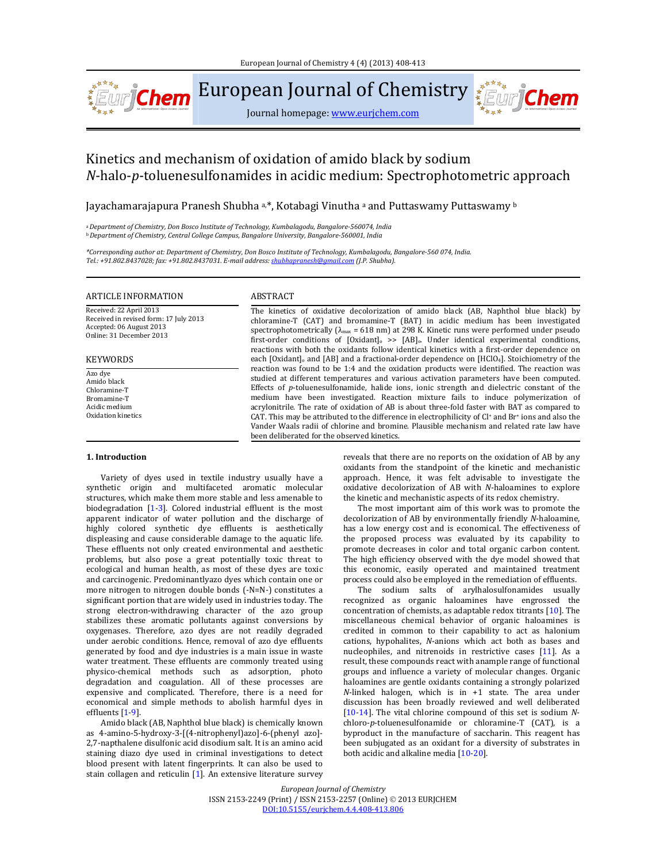European Journal of Chemistry

Journal homepage: www.eurjchem.com

# Kinetics and mechanism of oxidation of amido black by sodium *N*-halo-*p*-toluenesulfonamides in acidic medium: Spectrophotometric approach

Jayachamarajapura Pranesh Shubha a,\*, Kotabagi Vinutha a and Puttaswamy Puttaswamy b

<sup>a</sup>*Department of Chemistry, Don Bosco Institute of Technology, Kumbalagodu, Bangalore‐560074, India* <sup>b</sup>*Department of Chemistry, Central College Campus, Bangalore University, Bangalore‐560001, India*

\*Corresponding author at: Department of Chemistry, Don Bosco <mark>Institute of Technology, Kumbalagodu,</mark> Bangalore-560 074, India.<br>Tel.: +91.802.8437028; fax: +91.802.8437031. E-mail address: <u>shubhapranesh@gmail.com</u> (J.P. Sh *Tel.: +91.802.8437028; fax: +91.802.8437031. E‐mail address: shubhapranesh@gmail.com (J.P. Shubha).*

# ARTICLE INFORMATION ABSTRACT

Received: 22 April 2013 Received in revised form: 17 July 2013 Accepted: 06 August 2013 Online: 31 December 2013

**Chem** 

# KEYWORDS

Azo dye Amido black Chloramine‐T Bromamine‐T Acidic medium Oxidation kinetics

### **1. Introduction**

Variety of dyes used in textile industry usually have a synthetic origin and multifaceted aromatic molecular structures, which make them more stable and less amenable to biodegradation  $[1-3]$ . Colored industrial effluent is the most apparent indicator of water pollution and the discharge of highly colored synthetic dye effluents is aesthetically displeasing and cause considerable damage to the aquatic life. These effluents not only created environmental and aesthetic problems, but also pose a great potentially toxic threat to ecological and human health, as most of these dyes are toxic and carcinogenic. Predominantlyazo dyes which contain one or more nitrogen to nitrogen double bonds (-N=N-) constitutes a significant portion that are widely used in industries today. The strong electron-withdrawing character of the azo group stabilizes these aromatic pollutants against conversions by oxygenases. Therefore, azo dyes are not readily degraded under aerobic conditions. Hence, removal of azo dye effluents generated by food and dye industries is a main issue in waste water treatment. These effluents are commonly treated using physico-chemical methods such as adsorption, photo degradation and coagulation. All of these processes are expensive and complicated. Therefore, there is a need for economical and simple methods to abolish harmful dyes in effluents  $[1-9]$ .

Amido black (AB, Naphthol blue black) is chemically known as 4‐amino‐5‐hydroxy‐3‐[(4‐nitrophenyl)azo]‐6‐(phenyl azo]‐ 2,7-napthalene disulfonic acid disodium salt. It is an amino acid staining diazo dye used in criminal investigations to detect blood present with latent fingerprints. It can also be used to stain collagen and reticulin  $[1]$ . An extensive literature survey

The kinetics of oxidative decolorization of amido black (AB, Naphthol blue black) by chloramine-T (CAT) and bromamine-T (BAT) in acidic medium has been investigated spectrophotometrically  $(\lambda_{\text{max}} = 618 \text{ nm})$  at 298 K. Kinetic runs were performed under pseudo first-order conditions of  $[Oxidant]_o$  >>  $[AB]_o$ . Under identical experimental conditions, reactions with both the oxidants follow identical kinetics with a first-order dependence on each [Oxidant]<sub>o</sub> and [AB] and a fractional-order dependence on [HClO<sub>4</sub>]. Stoichiometry of the reaction was found to be 1:4 and the oxidation products were identified. The reaction was studied at different temperatures and various activation parameters have been computed. Effects of p-toluenesulfonamide, halide ions, ionic strength and dielectric constant of the medium have been investigated. Reaction mixture fails to induce polymerization of acrylonitrile. The rate of oxidation of AB is about three-fold faster with BAT as compared to CAT. This may be attributed to the difference in electrophilicity of  $Cl<sup>+</sup>$  and  $Br<sup>+</sup>$  ions and also the Vander Waals radii of chlorine and bromine. Plausible mechanism and related rate law have been deliberated for the observed kinetics.

> reveals that there are no reports on the oxidation of AB by any oxidants from the standpoint of the kinetic and mechanistic approach. Hence, it was felt advisable to investigate the oxidative decolorization of AB with *N*-haloamines to explore the kinetic and mechanistic aspects of its redox chemistry.

\*\*\*\*

*TChen* 

The most important aim of this work was to promote the decolorization of AB by environmentally friendly *N*-haloamine. has a low energy cost and is economical. The effectiveness of the proposed process was evaluated by its capability to promote decreases in color and total organic carbon content. The high efficiency observed with the dye model showed that this economic, easily operated and maintained treatment process could also be employed in the remediation of effluents.

The sodium salts of arylhalosulfonamides usually recognized as organic haloamines have engrossed the concentration of chemists, as adaptable redox titrants  $[10]$ . The miscellaneous chemical behavior of organic haloamines is credited in common to their capability to act as halonium cations, hypohalites, *N*-anions which act both as bases and nucleophiles, and nitrenoids in restrictive cases [11]. As a result, these compounds react with anample range of functional groups and influence a variety of molecular changes. Organic haloamines are gentle oxidants containing a strongly polarized *N*-linked halogen, which is in +1 state. The area under discussion has been broadly reviewed and well deliberated [10-14]. The vital chlorine compound of this set is sodium *N*chloro-*p*-toluenesulfonamide or chloramine-T (CAT), is a byproduct in the manufacture of saccharin. This reagent has been subjugated as an oxidant for a diversity of substrates in both acidic and alkaline media [10-20].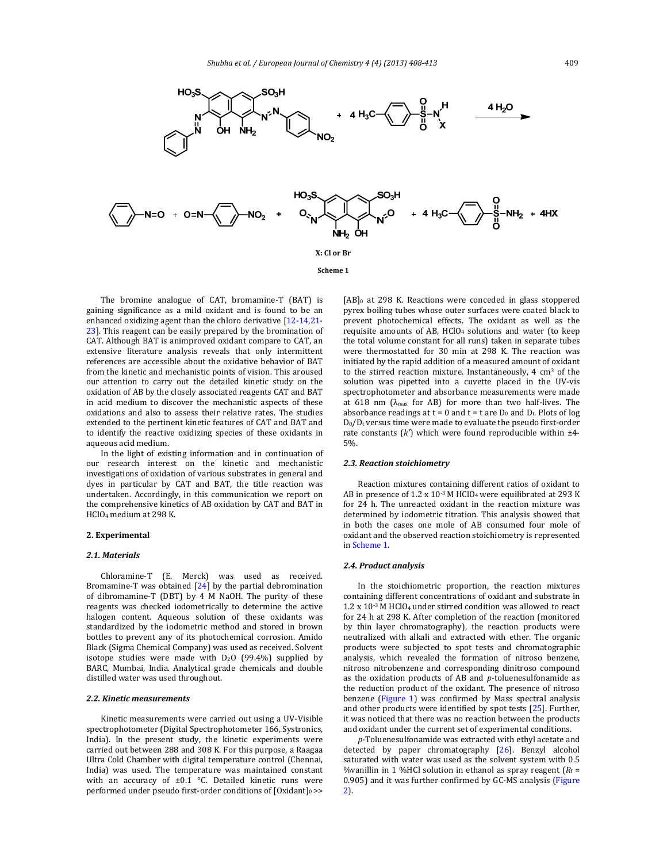



The bromine analogue of CAT, bromamine-T (BAT) is gaining significance as a mild oxidant and is found to be an enhanced oxidizing agent than the chloro derivative [12-14,21-23]. This reagent can be easily prepared by the bromination of CAT. Although BAT is animproved oxidant compare to CAT, an extensive literature analysis reveals that only intermittent references are accessible about the oxidative behavior of BAT from the kinetic and mechanistic points of vision. This aroused our attention to carry out the detailed kinetic study on the oxidation of AB by the closely associated reagents CAT and BAT in acid medium to discover the mechanistic aspects of these oxidations and also to assess their relative rates. The studies extended to the pertinent kinetic features of CAT and BAT and to identify the reactive oxidizing species of these oxidants in aqueous acid medium.

ÒН

ŃΗ,

In the light of existing information and in continuation of our research interest on the kinetic and mechanistic investigations of oxidation of various substrates in general and dyes in particular by CAT and BAT, the title reaction was undertaken. Accordingly, in this communication we report on the comprehensive kinetics of AB oxidation by CAT and BAT in HClO<sub>4</sub> medium at 298 K.

# **2. Experimental**

# *2.1. Materials*

Chloramine-T (E. Merck) was used as received. Bromamine-T was obtained  $[24]$  by the partial debromination of dibromamine-T (DBT) by  $4$  M NaOH. The purity of these reagents was checked iodometrically to determine the active halogen content. Aqueous solution of these oxidants was standardized by the iodometric method and stored in brown bottles to prevent any of its photochemical corrosion. Amido Black (Sigma Chemical Company) was used as received. Solvent isotope studies were made with  $D_2O$  (99.4%) supplied by BARC, Mumbai, India. Analytical grade chemicals and double distilled water was used throughout.

#### *2.2. Kinetic measurements*

Kinetic measurements were carried out using a UV-Visible spectrophotometer (Digital Spectrophotometer 166, Systronics, India). In the present study, the kinetic experiments were carried out between 288 and 308 K. For this purpose, a Raagaa Ultra Cold Chamber with digital temperature control (Chennai, India) was used. The temperature was maintained constant with an accuracy of  $\pm 0.1$  °C. Detailed kinetic runs were performed under pseudo first-order conditions of [Oxidant]0>> [AB]<sup>0</sup> at 298 K. Reactions were conceded in glass stoppered pyrex boiling tubes whose outer surfaces were coated black to prevent photochemical effects. The oxidant as well as the requisite amounts of AB, HClO<sub>4</sub> solutions and water (to keep the total volume constant for all runs) taken in separate tubes were thermostatted for 30 min at 298 K. The reaction was initiated by the rapid addition of a measured amount of oxidant to the stirred reaction mixture. Instantaneously,  $4 \text{ cm}^3$  of the solution was pipetted into a cuvette placed in the UV-vis spectrophotometer and absorbance measurements were made at  $618$  nm ( $\lambda_{\text{max}}$  for AB) for more than two half-lives. The absorbance readings at  $t = 0$  and  $t = t$  are  $D_0$  and  $D_t$ . Plots of log  $D_0/D_t$  versus time were made to evaluate the pseudo first-order rate constants  $(k')$  which were found reproducible within  $\pm 4$ -5%. 

#### *2.3. Reaction stoichiometry*

Reaction mixtures containing different ratios of oxidant to AB in presence of  $1.2 \times 10^{-3}$  M HClO<sub>4</sub> were equilibrated at 293 K for 24 h. The unreacted oxidant in the reaction mixture was determined by iodometric titration. This analysis showed that in both the cases one mole of AB consumed four mole of oxidant and the observed reaction stoichiometry is represented in Scheme 1.

#### *2.4. Product analysis*

In the stoichiometric proportion, the reaction mixtures containing different concentrations of oxidant and substrate in 1.2 x  $10^{-3}$  M HClO<sub>4</sub> under stirred condition was allowed to react for 24 h at 298 K. After completion of the reaction (monitored by thin layer chromatography), the reaction products were neutralized with alkali and extracted with ether. The organic products were subjected to spot tests and chromatographic analysis, which revealed the formation of nitroso benzene, nitroso nitrobenzene and corresponding dinitroso compound as the oxidation products of AB and *p*-toluenesulfonamide as the reduction product of the oxidant. The presence of nitroso benzene (Figure 1) was confirmed by Mass spectral analysis and other products were identified by spot tests  $[25]$ . Further, it was noticed that there was no reaction between the products and oxidant under the current set of experimental conditions.

p-Toluenesulfonamide was extracted with ethyl acetate and detected by paper chromatography [26]. Benzyl alcohol saturated with water was used as the solvent system with 0.5 %vanillin in 1 %HCl solution in ethanol as spray reagent  $(R_f =$ 0.905) and it was further confirmed by GC-MS analysis (Figure 2).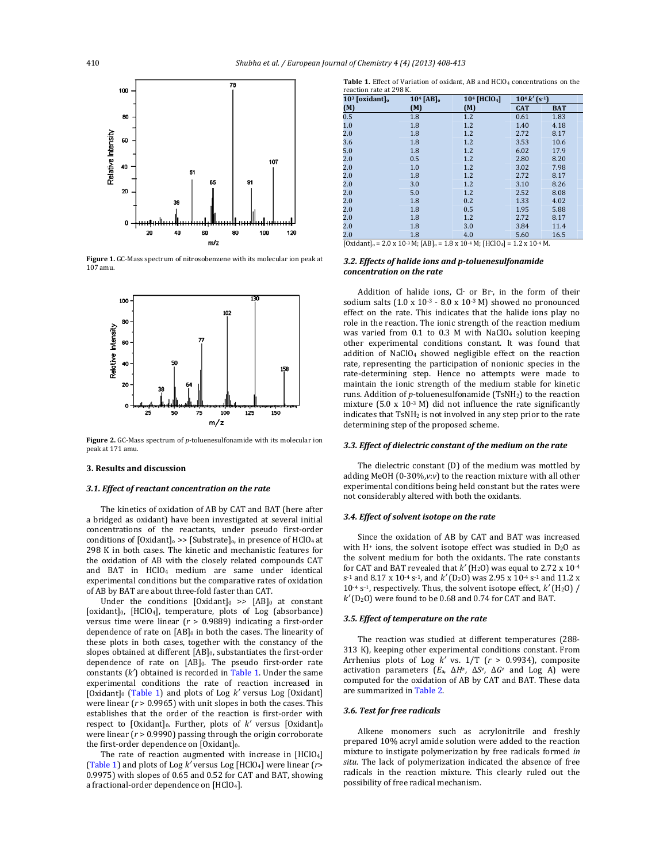

Figure 1. GC-Mass spectrum of nitrosobenzene with its molecular ion peak at 107 amu.



**Figure 2.** GC-Mass spectrum of p-toluenesulfonamide with its molecular ion peak at 171 amu. 

# **3. Results and discussion**

#### *3.1. Effect of reactant concentration on the rate*

The kinetics of oxidation of AB by CAT and BAT (here after a bridged as oxidant) have been investigated at several initial concentrations of the reactants, under pseudo first-order conditions of  $[Oxidant]_0 \gg [Substrate]_0$ , in presence of HClO<sub>4</sub> at 298 K in both cases. The kinetic and mechanistic features for the oxidation of AB with the closely related compounds CAT and BAT in HClO<sub>4</sub> medium are same under identical experimental conditions but the comparative rates of oxidation of AB by BAT are about three-fold faster than CAT.

Under the conditions  $[Oxidant]_0 \gg [AB]_0$  at constant [oxidant]<sub>0</sub>, [HClO<sub>4</sub>], temperature, plots of Log (absorbance) versus time were linear  $(r > 0.9889)$  indicating a first-order dependence of rate on  $[AB]_0$  in both the cases. The linearity of these plots in both cases, together with the constancy of the slopes obtained at different [AB]<sub>0</sub>, substantiates the first-order dependence of rate on [AB]0. The pseudo first-order rate constants  $(k')$  obtained is recorded in Table 1. Under the same experimental conditions the rate of reaction increased in [Oxidant]<sub>0</sub> (Table 1) and plots of Log *k'* versus Log [Oxidant] were linear  $(r > 0.9965)$  with unit slopes in both the cases. This establishes that the order of the reaction is first-order with respect to  $[Oxidant]_0$ . Further, plots of  $k'$  versus  $[Oxidant]_0$ were linear  $(r > 0.9990)$  passing through the origin corroborate the first-order dependence on [Oxidant]<sup>0</sup>.

The rate of reaction augmented with increase in  $[HClO<sub>4</sub>]$ (Table 1) and plots of Log  $k'$  versus Log [HClO<sub>4</sub>] were linear ( $r$ > 0.9975) with slopes of 0.65 and 0.52 for CAT and BAT, showing a fractional-order dependence on [HClO<sub>4</sub>].

**Table 1.** Effect of Variation of oxidant, AB and HClO<sub>4</sub> concentrations on the reaction rate at 298 K.

| 10 <sup>3</sup> [oxidant] <sub>0</sub> | $104$ [AB] <sub>o</sub> | 10 <sup>4</sup> [HClO <sub>4</sub> ] | $104k'(s-1)$ |            |  |
|----------------------------------------|-------------------------|--------------------------------------|--------------|------------|--|
| (M)                                    | (M)                     | (M)                                  | <b>CAT</b>   | <b>BAT</b> |  |
| 0.5                                    | 1.8                     | 1.2                                  | 0.61         | 1.83       |  |
| 1.0                                    | 1.8                     | 1.2                                  | 1.40         | 4.18       |  |
| 2.0                                    | 1.8                     | 1.2                                  | 2.72         | 8.17       |  |
| 3.6                                    | 1.8                     | 1.2                                  | 3.53         | 10.6       |  |
| 5.0                                    | 1.8                     | 1.2                                  | 6.02         | 17.9       |  |
| 2.0                                    | 0.5                     | 1.2                                  | 2.80         | 8.20       |  |
| 2.0                                    | 1.0                     | 1.2                                  | 3.02         | 7.98       |  |
| 2.0                                    | 1.8                     | 1.2                                  | 2.72         | 8.17       |  |
| 2.0                                    | 3.0                     | 1.2                                  | 3.10         | 8.26       |  |
| 2.0                                    | 5.0                     | 1.2                                  | 2.52         | 8.08       |  |
| 2.0                                    | 1.8                     | 0.2                                  | 1.33         | 4.02       |  |
| 2.0                                    | 1.8                     | 0.5                                  | 1.95         | 5.88       |  |
| 2.0                                    | 1.8                     | 1.2                                  | 2.72         | 8.17       |  |
| 2.0                                    | 1.8                     | 3.0                                  | 3.84         | 11.4       |  |
| 2.0                                    | 1.8                     | 4.0                                  | 5.60         | 16.5       |  |

 $[Oxidant]_0 = 2.0 \times 10^{-3}$  M;  $[AB]_0 = 1.8 \times 10^{-4}$  M;  $[HCIO_4] = 1.2 \times 10^{-4}$  M.

# *3.2. Effects of halide ions and p‐toluenesulfonamide concentration on the rate*

Addition of halide ions, Cl or Br, in the form of their sodium salts  $(1.0 \times 10^{-3} - 8.0 \times 10^{-3} \text{ M})$  showed no pronounced effect on the rate. This indicates that the halide ions play no role in the reaction. The ionic strength of the reaction medium was varied from  $0.1$  to  $0.3$  M with NaClO<sub>4</sub> solution keeping other experimental conditions constant. It was found that addition of NaClO<sub>4</sub> showed negligible effect on the reaction rate, representing the participation of nonionic species in the rate-determining step. Hence no attempts were made to maintain the ionic strength of the medium stable for kinetic runs. Addition of *p*-toluenesulfonamide (TsNH<sub>2</sub>) to the reaction mixture  $(5.0 \times 10^{-3} \text{ M})$  did not influence the rate significantly indicates that TsNH<sub>2</sub> is not involved in any step prior to the rate determining step of the proposed scheme.

#### *3.3. Effect of dielectric constant of the medium on the rate*

The dielectric constant  $(D)$  of the medium was mottled by adding MeOH  $(0-30\%, v:v)$  to the reaction mixture with all other experimental conditions being held constant but the rates were not considerably altered with both the oxidants.

#### *3.4. Effect of solvent isotope on the rate*

Since the oxidation of AB by CAT and BAT was increased with  $H^+$  ions, the solvent isotope effect was studied in  $D_2O$  as the solvent medium for both the oxidants. The rate constants for CAT and BAT revealed that  $k'$  (H<sub>2</sub>O) was equal to 2.72 x 10<sup>-4</sup> s<sup>-1</sup> and 8.17 x 10<sup>-4</sup> s<sup>-1</sup>, and *k<sup>'</sup>* (D<sub>2</sub>O) was 2.95 x 10<sup>-4</sup> s<sup>-1</sup> and 11.2 x 10<sup>-4</sup> s<sup>-1</sup>, respectively. Thus, the solvent isotope effect,  $k'$  (H<sub>2</sub>O) /  $k'$  (D<sub>2</sub>O) were found to be 0.68 and 0.74 for CAT and BAT.

# *3.5. Effect of temperature on the rate*

The reaction was studied at different temperatures (288-313 K), keeping other experimental conditions constant. From Arrhenius plots of Log  $k'$  vs.  $1/T$  ( $r > 0.9934$ ), composite activation parameters  $(E_a, \Delta H^{\neq}, \Delta S^{\neq}, \Delta G^{\neq}$  and Log A) were computed for the oxidation of AB by CAT and BAT. These data are summarized in Table 2.

### *3.6. Test for free radicals*

Alkene monomers such as acrylonitrile and freshly prepared 10% acryl amide solution were added to the reaction mixture to instigate polymerization by free radicals formed *in* situ. The lack of polymerization indicated the absence of free radicals in the reaction mixture. This clearly ruled out the possibility of free radical mechanism.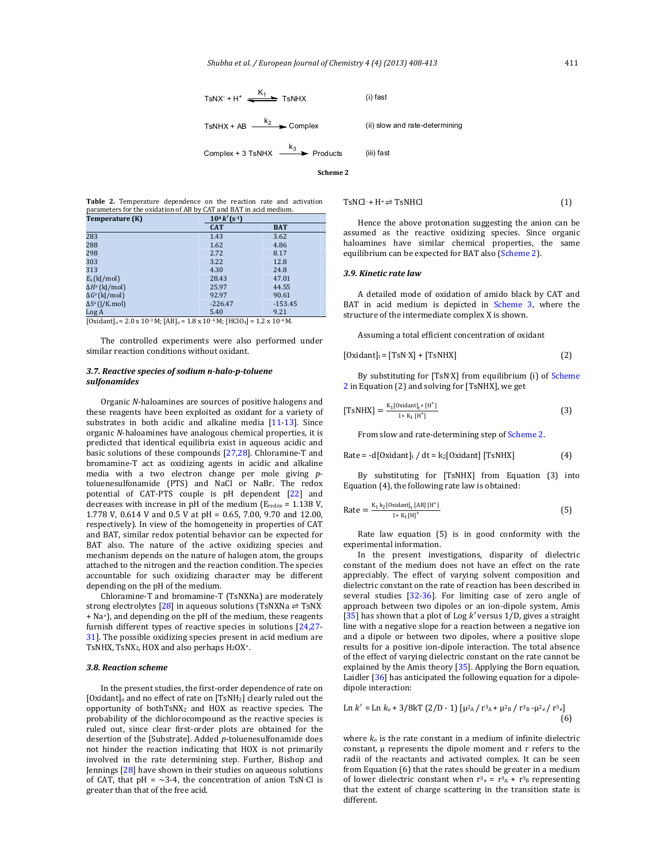TsNX<sup>+</sup> + H<sup>+</sup> 
$$
\frac{K_1}{K_2}
$$
 TsNHX (i) fast  
TsNHX + AB  $\frac{k_2}{K_2}$  Complex (ii) slow and rate-determining

 ${\rm Complex + 3~T}$  Complex + 3 TsNHX  ${\displaystyle \xrightarrow{\rm k_3} \blacktriangleright}$  Products

**Scheme 2**

Table 2. Temperature dependence on the reaction rate and activation parameters for the oxidation of AB by CAT and BAT in acid medium.

| Temperature (K)                                                                                            | $10^{4}$ k' (s <sup>-1</sup> ) |            |  |  |  |
|------------------------------------------------------------------------------------------------------------|--------------------------------|------------|--|--|--|
|                                                                                                            | <b>CAT</b>                     | <b>BAT</b> |  |  |  |
| 283                                                                                                        | 1.43                           | 3.62       |  |  |  |
| 288                                                                                                        | 1.62                           | 4.86       |  |  |  |
| 298                                                                                                        | 2.72                           | 8.17       |  |  |  |
| 303                                                                                                        | 3.22                           | 12.8       |  |  |  |
| 313                                                                                                        | 4.30                           | 24.8       |  |  |  |
| $E_a$ (kJ/mol)                                                                                             | 28.43                          | 47.01      |  |  |  |
| $\Delta H^*$ (kJ/mol)                                                                                      | 25.97                          | 44.55      |  |  |  |
| $\Delta G$ <sup>*</sup> (kJ/mol)                                                                           | 92.97                          | 90.61      |  |  |  |
| $\Delta S$ <sup>*</sup> (J/K.mol)                                                                          | $-226.47$                      | $-153.45$  |  |  |  |
| Log A                                                                                                      | 5.40                           | 9.21       |  |  |  |
| $[0xidant]_0 = 2.0 \times 10^{-3} M$ ; $[AB]_0 = 1.8 \times 10^{-4} M$ ; $[HC]_4 = 1.2 \times 10^{-4} M$ . |                                |            |  |  |  |

The controlled experiments were also performed under similar reaction conditions without oxidant.

# *3.7. Reactive species of sodium n‐halo‐p‐toluene sulfonamides*

Organic N-haloamines are sources of positive halogens and these reagents have been exploited as oxidant for a variety of substrates in both acidic and alkaline media  $[11-13]$ . Since organic N-haloamines have analogous chemical properties, it is predicted that identical equilibria exist in aqueous acidic and basic solutions of these compounds  $[27,28]$ . Chloramine-T and bromamine-T act as oxidizing agents in acidic and alkaline media with a two electron change per mole giving *p*toluenesulfonamide (PTS) and NaCl or NaBr. The redox potential of CAT-PTS couple is pH dependent [22] and decreases with increase in pH of the medium ( $E_{\text{redox}} = 1.138$  V, 1.778 V, 0.614 V and 0.5 V at pH = 0.65, 7.00, 9.70 and 12.00, respectively). In view of the homogeneity in properties of CAT and BAT, similar redox potential behavior can be expected for BAT also. The nature of the active oxidizing species and mechanism depends on the nature of halogen atom, the groups attached to the nitrogen and the reaction condition. The species accountable for such oxidizing character may be different depending on the pH of the medium.

Chloramine-T and bromamine-T (TsNXNa) are moderately strong electrolytes [28] in aqueous solutions (TsNXNa  $\rightleftharpoons$  TsNX-+ Na<sup>+</sup>), and depending on the pH of the medium, these reagents furnish different types of reactive species in solutions  $[24,27]$ - $31$ ]. The possible oxidizing species present in acid medium are TsNHX, TsNX<sub>2</sub>, HOX and also perhaps  $H<sub>2</sub>OX<sup>+</sup>$ .

#### *3.8. Reaction scheme*

In the present studies, the first-order dependence of rate on [Oxidant] $_0$  and no effect of rate on [TsNH<sub>2</sub>] clearly ruled out the opportunity of bothTsNX<sub>2</sub> and HOX as reactive species. The probability of the dichlorocompound as the reactive species is ruled out, since clear first-order plots are obtained for the desertion of the [Substrate]. Added *p*-toluenesulfonamide does not hinder the reaction indicating that HOX is not primarily involved in the rate determining step. Further, Bishop and Jennings  $[28]$  have shown in their studies on aqueous solutions of CAT, that  $pH = \sim 3-4$ , the concentration of anion TsN·Cl is greater than that of the free acid.

$$
TsNCI^+ + H^+ \rightleftharpoons TsNHCl \tag{1}
$$

Hence the above protonation suggesting the anion can be assumed as the reactive oxidizing species. Since organic haloamines have similar chemical properties, the same equilibrium can be expected for BAT also (Scheme 2).

# *3.9. Kinetic rate law*

(iii) fast

A detailed mode of oxidation of amido black by CAT and BAT in acid medium is depicted in Scheme 3, where the structure of the intermediate complex X is shown.

Assuming a total efficient concentration of oxidant

$$
[Oxidant]_t = [TsN X] + [TsNHX]
$$
\n(2)

By substituting for [TsN·X] from equilibrium (i) of Scheme 2 in Equation (2) and solving for [TsNHX], we get

$$
[\text{TSNHX}] = \frac{K_1[\text{Oxidant}]_t + [H^+]}{1 + K_1 [H^+]}
$$
(3)

From slow and rate-determining step of Scheme 2.

$$
Rate = -d[Oxidant]_t / dt = k_2[Oxidant] [TsNHX]
$$
 (4)

By substituting for [TsNHX] from Equation (3) into Equation  $(4)$ , the following rate law is obtained:

Rate = 
$$
\frac{K_1 k_2 [\text{Oxidant}]_t [H^*]}{1 + K_1 [H]^+}
$$
 (5)

Rate law equation  $(5)$  is in good conformity with the experimental information.

In the present investigations, disparity of dielectric constant of the medium does not have an effect on the rate appreciably. The effect of varying solvent composition and dielectric constant on the rate of reaction has been described in several studies  $[32-36]$ . For limiting case of zero angle of approach between two dipoles or an ion-dipole system, Amis [35] has shown that a plot of Log  $k'$  versus  $1/D$ , gives a straight line with a negative slope for a reaction between a negative ion and a dipole or between two dipoles, where a positive slope results for a positive ion-dipole interaction. The total absence of the effect of varying dielectric constant on the rate cannot be explained by the Amis theory  $[35]$ . Applying the Born equation, Laidler  $[36]$  has anticipated the following equation for a dipoledipole interaction:

$$
\text{Ln } k' = \text{Ln } k_0 + 3/8k \text{T} \left( \frac{2}{D} - 1 \right) \left[ \mu_{A}^2 / \Gamma_{A}^3 + \mu_{B}^2 / \Gamma_{B}^3 - \mu_{A}^2 / \Gamma_{B}^3 \right] \tag{6}
$$

where  $k_0$  is the rate constant in a medium of infinite dielectric constant,  $\mu$  represents the dipole moment and r refers to the radii of the reactants and activated complex. It can be seen from Equation  $(6)$  that the rates should be greater in a medium of lower dielectric constant when  $r^3 = r^3A + r^3B$  representing that the extent of charge scattering in the transition state is different.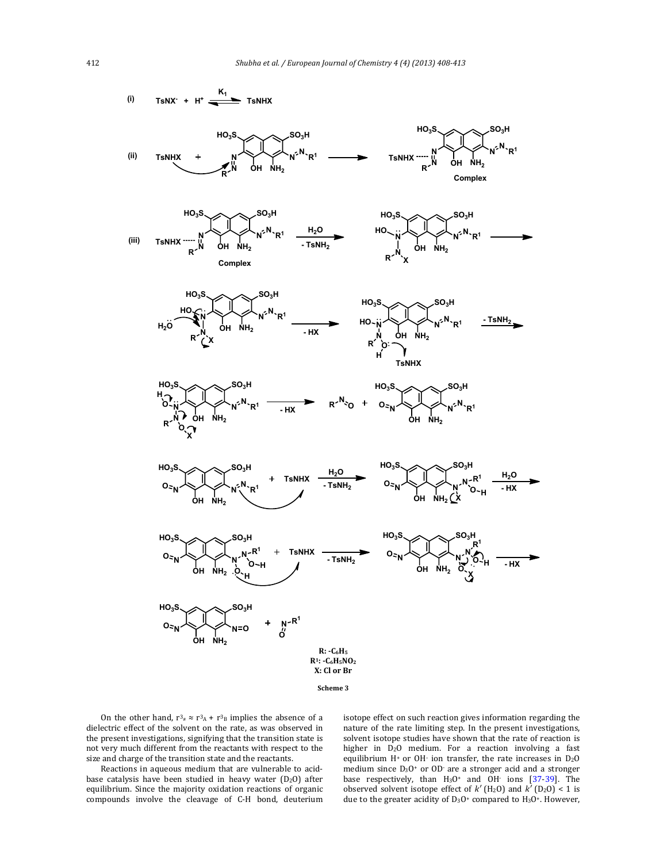

**Scheme 3**

On the other hand,  $r^3 \neq r^3 A + r^3 B$  implies the absence of a dielectric effect of the solvent on the rate, as was observed in the present investigations, signifying that the transition state is not very much different from the reactants with respect to the size and charge of the transition state and the reactants.

Reactions in aqueous medium that are vulnerable to acidbase catalysis have been studied in heavy water  $(D_2O)$  after equilibrium. Since the majority oxidation reactions of organic compounds involve the cleavage of C-H bond, deuterium isotope effect on such reaction gives information regarding the nature of the rate limiting step. In the present investigations, solvent isotope studies have shown that the rate of reaction is higher in  $D_2O$  medium. For a reaction involving a fast equilibrium  $H^+$  or OH $\cdot$  ion transfer, the rate increases in  $D_2O$ medium since  $D_3O^+$  or OD are a stronger acid and a stronger base respectively, than  $H_3O^+$  and  $OH^-$  ions  $[37-39]$ . The observed solvent isotope effect of  $k'$  (H<sub>2</sub>O) and  $k'$  (D<sub>2</sub>O) < 1 is due to the greater acidity of  $D_3O^*$  compared to  $H_3O^*$ . However,